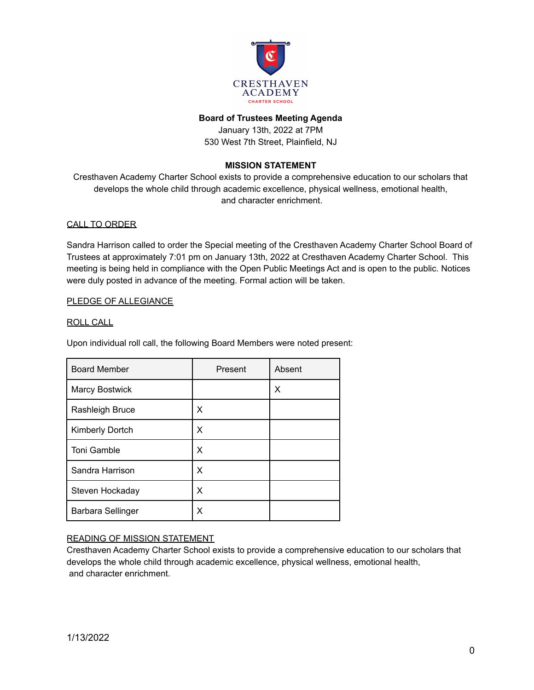

### **Board of Trustees Meeting Agenda**

January 13th, 2022 at 7PM 530 West 7th Street, Plainfield, NJ

## **MISSION STATEMENT**

Cresthaven Academy Charter School exists to provide a comprehensive education to our scholars that develops the whole child through academic excellence, physical wellness, emotional health, and character enrichment.

### CALL TO ORDER

Sandra Harrison called to order the Special meeting of the Cresthaven Academy Charter School Board of Trustees at approximately 7:01 pm on January 13th, 2022 at Cresthaven Academy Charter School. This meeting is being held in compliance with the Open Public Meetings Act and is open to the public. Notices were duly posted in advance of the meeting. Formal action will be taken.

### PLEDGE OF ALLEGIANCE

#### ROLL CALL

Upon individual roll call, the following Board Members were noted present:

| <b>Board Member</b>   | Present | Absent |
|-----------------------|---------|--------|
| <b>Marcy Bostwick</b> |         | Х      |
| Rashleigh Bruce       | Χ       |        |
| Kimberly Dortch       | x       |        |
| Toni Gamble           | x       |        |
| Sandra Harrison       | x       |        |
| Steven Hockaday       | x       |        |
| Barbara Sellinger     | х       |        |

## READING OF MISSION STATEMENT

Cresthaven Academy Charter School exists to provide a comprehensive education to our scholars that develops the whole child through academic excellence, physical wellness, emotional health, and character enrichment.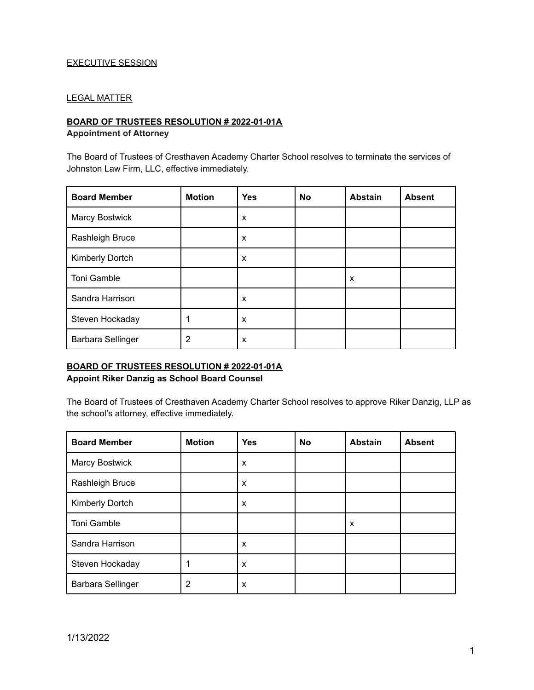# EXECUTIVE SESSION

## LEGAL MATTER

### **BOARD OF TRUSTEES RESOLUTION # 2022-01-01A**

#### **Appointment of Attorney**

The Board of Trustees of Cresthaven Academy Charter School resolves to terminate the services of Johnston Law Firm, LLC, effective immediately.

| <b>Board Member</b>      | <b>Motion</b> | <b>Yes</b> | No | <b>Abstain</b> | <b>Absent</b> |
|--------------------------|---------------|------------|----|----------------|---------------|
| <b>Marcy Bostwick</b>    |               | X          |    |                |               |
| Rashleigh Bruce          |               | X          |    |                |               |
| Kimberly Dortch          |               | X          |    |                |               |
| Toni Gamble              |               |            |    | X              |               |
| Sandra Harrison          |               | X          |    |                |               |
| Steven Hockaday          |               | X          |    |                |               |
| <b>Barbara Sellinger</b> | 2             | X          |    |                |               |

# **BOARD OF TRUSTEES RESOLUTION # 2022-01-01A Appoint Riker Danzig as School Board Counsel**

The Board of Trustees of Cresthaven Academy Charter School resolves to approve Riker Danzig, LLP as the school's attorney, effective immediately.

| <b>Board Member</b> | <b>Motion</b> | <b>Yes</b> | <b>No</b> | <b>Abstain</b> | <b>Absent</b> |
|---------------------|---------------|------------|-----------|----------------|---------------|
| Marcy Bostwick      |               | X          |           |                |               |
| Rashleigh Bruce     |               | X          |           |                |               |
| Kimberly Dortch     |               | X          |           |                |               |
| Toni Gamble         |               |            |           | X              |               |
| Sandra Harrison     |               | X          |           |                |               |
| Steven Hockaday     |               | X          |           |                |               |
| Barbara Sellinger   | 2             | X          |           |                |               |